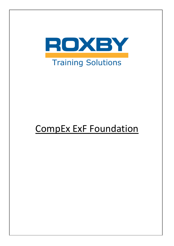

# CompEx ExF Foundation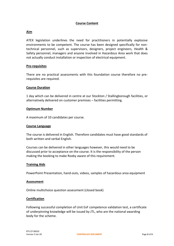## **Course Content**

## **Aim**

ATEX legislation underlines the need for practitioners in potentially explosive environments to be competent. The course has been designed specifically for nontechnical personnel, such as supervisors, designers, project engineers, Health & Safety personnel, managers and anyone involved in Hazardous Area work that does not actually conduct installation or inspection of electrical equipment.

## **Pre-requisites**

There are no practical assessments with this foundation course therefore no prerequisites are required.

## **Course Duration**

1 day which can be delivered in centre at our Stockton / Stallingborough facilities, or alternatively delivered on customer premises – facilities permitting.

#### **Optimum Number**

A maximum of 10 candidates per course.

#### **Course Language**

The course is delivered in English. Therefore candidates must have good standards of both written and verbal English.

Courses can be delivered in other languages however, this would need to be discussed prior to acceptance on the course. It is the responsibility of the person making the booking to make Roxby aware of this requirement.

## **Training Aids**

PowerPoint Presentation, hand-outs, videos, samples of hazardous area equipment

#### **Assessment**

Online multichoice question assessment (closed book)

#### **Certification**

Following successful completion of Unit ExF competence validation test, a certificate of underpinning knowledge will be issued by JTL, who are the national awarding body for the scheme.